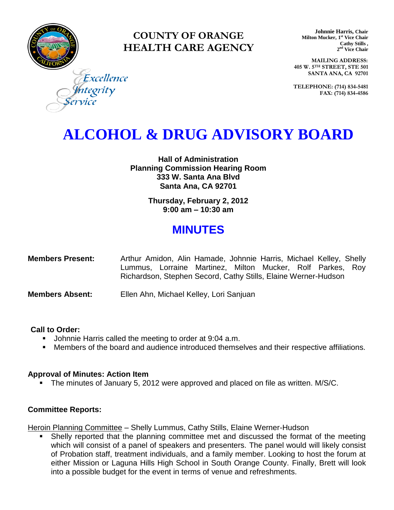

### **COUNTY OF ORANGE HEALTH CARE AGENCY**

**Johnnie Harris, Chair Milton Mucker, 1 st Vice Chair Cathy Stills , 2 nd Vice Chair**

**MAILING ADDRESS: 405 W. 5TH STREET, STE 501 SANTA ANA, CA 92701**

**TELEPHONE: (714) 834-5481 FAX: (714) 834-4586**

Excellence tegrity

## **ALCOHOL & DRUG ADVISORY BOARD**

**Hall of Administration Planning Commission Hearing Room 333 W. Santa Ana Blvd Santa Ana, CA 92701**

> **Thursday, February 2, 2012 9:00 am – 10:30 am**

### **MINUTES**

| <b>Members Present:</b> |  | Arthur Amidon, Alin Hamade, Johnnie Harris, Michael Kelley, Shelly |  |  |  |
|-------------------------|--|--------------------------------------------------------------------|--|--|--|
|                         |  | Lummus, Lorraine Martinez, Milton Mucker, Rolf Parkes, Roy         |  |  |  |
|                         |  | Richardson, Stephen Secord, Cathy Stills, Elaine Werner-Hudson     |  |  |  |

**Members Absent:** Ellen Ahn, Michael Kelley, Lori Sanjuan

#### **Call to Order:**

- **Johnnie Harris called the meeting to order at 9:04 a.m.**
- Members of the board and audience introduced themselves and their respective affiliations.

#### **Approval of Minutes: Action Item**

The minutes of January 5, 2012 were approved and placed on file as written. M/S/C.

#### **Committee Reports:**

Heroin Planning Committee – Shelly Lummus, Cathy Stills, Elaine Werner-Hudson

 Shelly reported that the planning committee met and discussed the format of the meeting which will consist of a panel of speakers and presenters. The panel would will likely consist of Probation staff, treatment individuals, and a family member. Looking to host the forum at either Mission or Laguna Hills High School in South Orange County. Finally, Brett will look into a possible budget for the event in terms of venue and refreshments.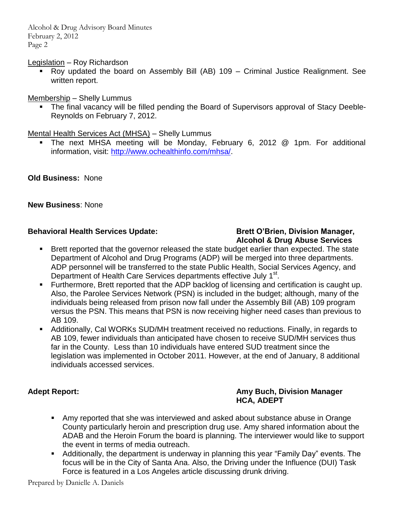Alcohol & Drug Advisory Board Minutes February 2, 2012 Page 2

Legislation – Roy Richardson

 Roy updated the board on Assembly Bill (AB) 109 – Criminal Justice Realignment. See written report.

Membership – Shelly Lummus

• The final vacancy will be filled pending the Board of Supervisors approval of Stacy Deeble-Reynolds on February 7, 2012.

#### Mental Health Services Act (MHSA) – Shelly Lummus

 The next MHSA meeting will be Monday, February 6, 2012 @ 1pm. For additional information, visit: [http://www.ochealthinfo.com/mhsa/.](http://www.ochealthinfo.com/mhsa/)

**Old Business:** None

#### **New Business**: None

#### **Behavioral Health Services Update: Brett O'Brien, Division Manager, Brett O'Brien, Division Manager,**

# **Alcohol & Drug Abuse Services**

- **Brett reported that the governor released the state budget earlier than expected. The state** Department of Alcohol and Drug Programs (ADP) will be merged into three departments. ADP personnel will be transferred to the state Public Health, Social Services Agency, and Department of Health Care Services departments effective July 1<sup>st</sup>.
- Furthermore, Brett reported that the ADP backlog of licensing and certification is caught up. Also, the Parolee Services Network (PSN) is included in the budget; although, many of the individuals being released from prison now fall under the Assembly Bill (AB) 109 program versus the PSN. This means that PSN is now receiving higher need cases than previous to AB 109.
- Additionally, Cal WORKs SUD/MH treatment received no reductions. Finally, in regards to AB 109, fewer individuals than anticipated have chosen to receive SUD/MH services thus far in the County. Less than 10 individuals have entered SUD treatment since the legislation was implemented in October 2011. However, at the end of January, 8 additional individuals accessed services.

#### Adept Report: **Amy Buch, Division Manager HCA, ADEPT**

- Amy reported that she was interviewed and asked about substance abuse in Orange County particularly heroin and prescription drug use. Amy shared information about the ADAB and the Heroin Forum the board is planning. The interviewer would like to support the event in terms of media outreach.
- Additionally, the department is underway in planning this year "Family Day" events. The focus will be in the City of Santa Ana. Also, the Driving under the Influence (DUI) Task Force is featured in a Los Angeles article discussing drunk driving.